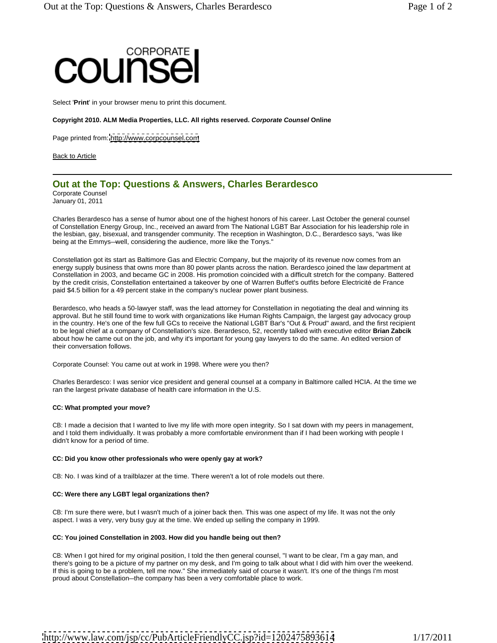

Select '**Print**' in your browser menu to print this document.

**Copyright 2010. ALM Media Properties, LLC. All rights reserved. Corporate Counsel Online**

Page printed from: <u>http://www.corpcounsel.com</u>

**Back to Article** the control of the control of the control of the control of the control of the control of the control of the control of the control of the control of the control of the control of the control of the contr

# **Out at the Top: Questions & Answers, Charles Berardesco**

Corporate Counsel January 01, 2011

Charles Berardesco has a sense of humor about one of the highest honors of his career. Last October the general counsel of Constellation Energy Group, Inc., received an award from The National LGBT Bar Association for his leadership role in the lesbian, gay, bisexual, and transgender community. The reception in Washington, D.C., Berardesco says, "was like being at the Emmys—well, considering the audience, more like the Tonys."

Constellation got its start as Baltimore Gas and Electric Company, but the majority of its revenue now comes from an energy supply business that owns more than 80 power plants across the nation. Berardesco joined the law department at Constellation in 2003, and became GC in 2008. His promotion coincided with a difficult stretch for the company. Battered by the credit crisis, Constellation entertained a takeover by one of Warren Buffet's outfits before Electricité de France paid \$4.5 billion for a 49 percent stake in the company's nuclear power plant business.

Berardesco, who heads a 50-lawyer staff, was the lead attorney for Constellation in negotiating the deal and winning its approval. But he still found time to work with organizations like Human Rights Campaign, the largest gay advocacy group in the country. He's one of the few full GCs to receive the National LGBT Bar's "Out & Proud" award, and the first recipient to be legal chief at a company of Constellation's size. Berardesco, 52, recently talked with executive editor **Brian Zabcik**  about how he came out on the job, and why it's important for young gay lawyers to do the same. An edited version of their conversation follows.

Corporate Counsel: You came out at work in 1998. Where were you then?

Charles Berardesco: I was senior vice president and general counsel at a company in Baltimore called HCIA. At the time we ran the largest private database of health care information in the U.S.

## **CC: What prompted your move?**

CB: I made a decision that I wanted to live my life with more open integrity. So I sat down with my peers in management, and I told them individually. It was probably a more comfortable environment than if I had been working with people I didn't know for a period of time.

## **CC: Did you know other professionals who were openly gay at work?**

CB: No. I was kind of a trailblazer at the time. There weren't a lot of role models out there.

# **CC: Were there any LGBT legal organizations then?**

CB: I'm sure there were, but I wasn't much of a joiner back then. This was one aspect of my life. It was not the only aspect. I was a very, very busy guy at the time. We ended up selling the company in 1999.

## **CC: You joined Constellation in 2003. How did you handle being out then?**

CB: When I got hired for my original position, I told the then general counsel, "I want to be clear, I'm a gay man, and there's going to be a picture of my partner on my desk, and I'm going to talk about what I did with him over the weekend. If this is going to be a problem, tell me now." She immediately said of course it wasn't. It's one of the things I'm most proud about Constellation—the company has been a very comfortable place to work.